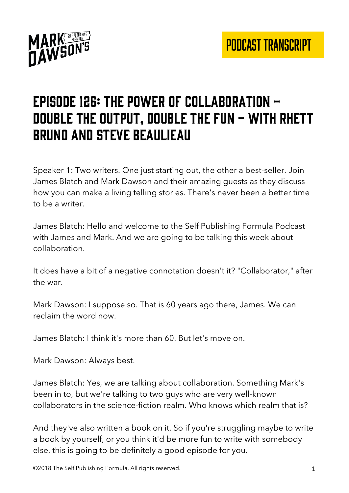

# Episode 126: the power of collaboration double the output, double the fun - with rhett bruno and steve Beaulieau

Speaker 1: Two writers. One just starting out, the other a best-seller. Join James Blatch and Mark Dawson and their amazing guests as they discuss how you can make a living telling stories. There's never been a better time to be a writer.

James Blatch: Hello and welcome to the Self Publishing Formula Podcast with James and Mark. And we are going to be talking this week about collaboration.

It does have a bit of a negative connotation doesn't it? "Collaborator," after the war.

Mark Dawson: I suppose so. That is 60 years ago there, James. We can reclaim the word now.

James Blatch: I think it's more than 60. But let's move on.

Mark Dawson: Always best.

James Blatch: Yes, we are talking about collaboration. Something Mark's been in to, but we're talking to two guys who are very well-known collaborators in the science-fiction realm. Who knows which realm that is?

And they've also written a book on it. So if you're struggling maybe to write a book by yourself, or you think it'd be more fun to write with somebody else, this is going to be definitely a good episode for you.

©2018 The Self Publishing Formula. All rights reserved. 1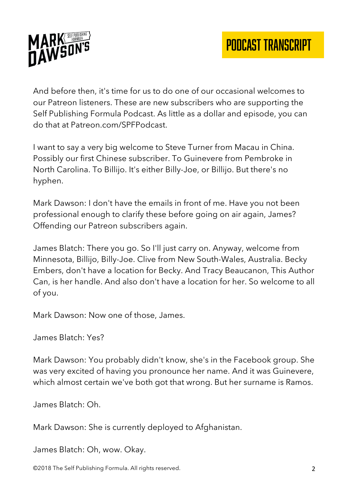

And before then, it's time for us to do one of our occasional welcomes to our Patreon listeners. These are new subscribers who are supporting the Self Publishing Formula Podcast. As little as a dollar and episode, you can do that at Patreon.com/SPFPodcast.

I want to say a very big welcome to Steve Turner from Macau in China. Possibly our first Chinese subscriber. To Guinevere from Pembroke in North Carolina. To Billijo. It's either Billy-Joe, or Billijo. But there's no hyphen.

Mark Dawson: I don't have the emails in front of me. Have you not been professional enough to clarify these before going on air again, James? Offending our Patreon subscribers again.

James Blatch: There you go. So I'll just carry on. Anyway, welcome from Minnesota, Billijo, Billy-Joe. Clive from New South-Wales, Australia. Becky Embers, don't have a location for Becky. And Tracy Beaucanon, This Author Can, is her handle. And also don't have a location for her. So welcome to all of you.

Mark Dawson: Now one of those, James.

James Blatch: Yes?

Mark Dawson: You probably didn't know, she's in the Facebook group. She was very excited of having you pronounce her name. And it was Guinevere, which almost certain we've both got that wrong. But her surname is Ramos.

James Blatch: Oh.

Mark Dawson: She is currently deployed to Afghanistan.

James Blatch: Oh, wow. Okay.

©2018 The Self Publishing Formula. All rights reserved. 2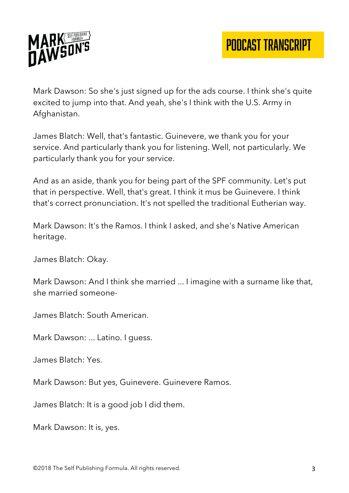



Mark Dawson: So she's just signed up for the ads course. I think she's quite excited to jump into that. And yeah, she's I think with the U.S. Army in Afghanistan.

James Blatch: Well, that's fantastic. Guinevere, we thank you for your service. And particularly thank you for listening. Well, not particularly. We particularly thank you for your service.

And as an aside, thank you for being part of the SPF community. Let's put that in perspective. Well, that's great. I think it mus be Guinevere. I think that's correct pronunciation. It's not spelled the traditional Eutherian way.

Mark Dawson: It's the Ramos. I think I asked, and she's Native American heritage.

James Blatch: Okay.

Mark Dawson: And I think she married ... I imagine with a surname like that, she married someone-

James Blatch: South American.

Mark Dawson: ... Latino. I guess.

James Blatch: Yes.

Mark Dawson: But yes, Guinevere. Guinevere Ramos.

James Blatch: It is a good job I did them.

Mark Dawson: It is, yes.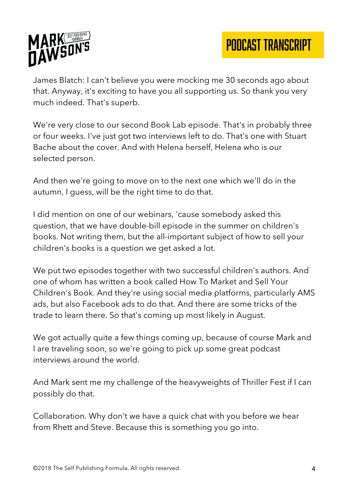

James Blatch: I can't believe you were mocking me 30 seconds ago about that. Anyway, it's exciting to have you all supporting us. So thank you very much indeed. That's superb.

We're very close to our second Book Lab episode. That's in probably three or four weeks. I've just got two interviews left to do. That's one with Stuart Bache about the cover. And with Helena herself, Helena who is our selected person.

And then we're going to move on to the next one which we'll do in the autumn, I guess, will be the right time to do that.

I did mention on one of our webinars, 'cause somebody asked this question, that we have double-bill episode in the summer on children's books. Not writing them, but the all-important subject of how to sell your children's books is a question we get asked a lot.

We put two episodes together with two successful children's authors. And one of whom has written a book called How To Market and Sell Your Children's Book. And they're using social media platforms, particularly AMS ads, but also Facebook ads to do that. And there are some tricks of the trade to learn there. So that's coming up most likely in August.

We got actually quite a few things coming up, because of course Mark and I are traveling soon, so we're going to pick up some great podcast interviews around the world.

And Mark sent me my challenge of the heavyweights of Thriller Fest if I can possibly do that.

Collaboration. Why don't we have a quick chat with you before we hear from Rhett and Steve. Because this is something you go into.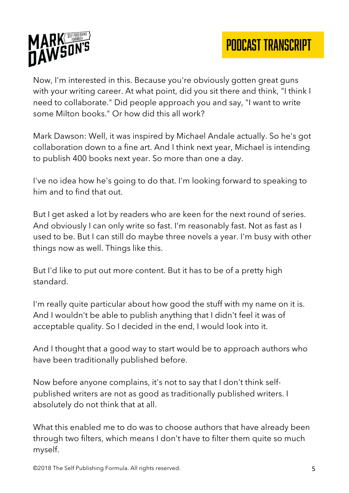

Now, I'm interested in this. Because you're obviously gotten great guns with your writing career. At what point, did you sit there and think, "I think I need to collaborate." Did people approach you and say, "I want to write some Milton books." Or how did this all work?

Mark Dawson: Well, it was inspired by Michael Andale actually. So he's got collaboration down to a fine art. And I think next year, Michael is intending to publish 400 books next year. So more than one a day.

I've no idea how he's going to do that. I'm looking forward to speaking to him and to find that out.

But I get asked a lot by readers who are keen for the next round of series. And obviously I can only write so fast. I'm reasonably fast. Not as fast as I used to be. But I can still do maybe three novels a year. I'm busy with other things now as well. Things like this.

But I'd like to put out more content. But it has to be of a pretty high standard.

I'm really quite particular about how good the stuff with my name on it is. And I wouldn't be able to publish anything that I didn't feel it was of acceptable quality. So I decided in the end, I would look into it.

And I thought that a good way to start would be to approach authors who have been traditionally published before.

Now before anyone complains, it's not to say that I don't think selfpublished writers are not as good as traditionally published writers. I absolutely do not think that at all.

What this enabled me to do was to choose authors that have already been through two filters, which means I don't have to filter them quite so much myself.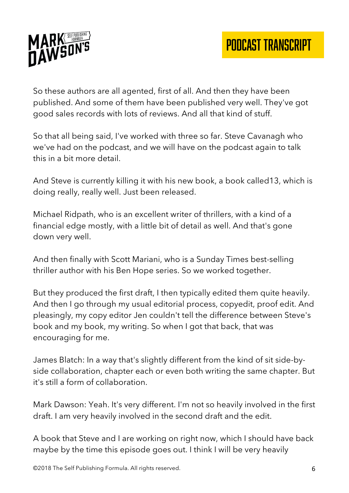

So these authors are all agented, first of all. And then they have been published. And some of them have been published very well. They've got good sales records with lots of reviews. And all that kind of stuff.

So that all being said, I've worked with three so far. Steve Cavanagh who we've had on the podcast, and we will have on the podcast again to talk this in a bit more detail.

And Steve is currently killing it with his new book, a book called13, which is doing really, really well. Just been released.

Michael Ridpath, who is an excellent writer of thrillers, with a kind of a financial edge mostly, with a little bit of detail as well. And that's gone down very well.

And then finally with Scott Mariani, who is a Sunday Times best-selling thriller author with his Ben Hope series. So we worked together.

But they produced the first draft, I then typically edited them quite heavily. And then I go through my usual editorial process, copyedit, proof edit. And pleasingly, my copy editor Jen couldn't tell the difference between Steve's book and my book, my writing. So when I got that back, that was encouraging for me.

James Blatch: In a way that's slightly different from the kind of sit side-byside collaboration, chapter each or even both writing the same chapter. But it's still a form of collaboration.

Mark Dawson: Yeah. It's very different. I'm not so heavily involved in the first draft. I am very heavily involved in the second draft and the edit.

A book that Steve and I are working on right now, which I should have back maybe by the time this episode goes out. I think I will be very heavily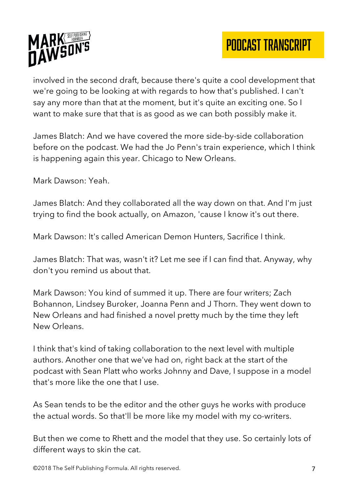

involved in the second draft, because there's quite a cool development that we're going to be looking at with regards to how that's published. I can't say any more than that at the moment, but it's quite an exciting one. So I want to make sure that that is as good as we can both possibly make it.

James Blatch: And we have covered the more side-by-side collaboration before on the podcast. We had the Jo Penn's train experience, which I think is happening again this year. Chicago to New Orleans.

Mark Dawson: Yeah.

James Blatch: And they collaborated all the way down on that. And I'm just trying to find the book actually, on Amazon, 'cause I know it's out there.

Mark Dawson: It's called American Demon Hunters, Sacrifice I think.

James Blatch: That was, wasn't it? Let me see if I can find that. Anyway, why don't you remind us about that.

Mark Dawson: You kind of summed it up. There are four writers; Zach Bohannon, Lindsey Buroker, Joanna Penn and J Thorn. They went down to New Orleans and had finished a novel pretty much by the time they left New Orleans.

I think that's kind of taking collaboration to the next level with multiple authors. Another one that we've had on, right back at the start of the podcast with Sean Platt who works Johnny and Dave, I suppose in a model that's more like the one that I use.

As Sean tends to be the editor and the other guys he works with produce the actual words. So that'll be more like my model with my co-writers.

But then we come to Rhett and the model that they use. So certainly lots of different ways to skin the cat.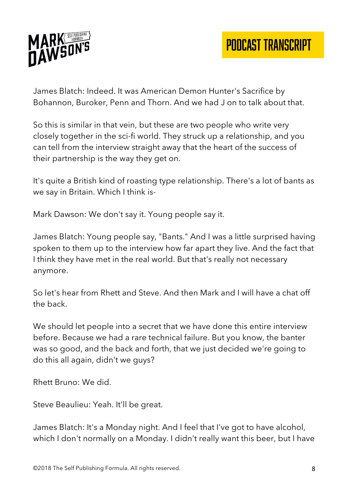

James Blatch: Indeed. It was American Demon Hunter's Sacrifice by Bohannon, Buroker, Penn and Thorn. And we had J on to talk about that.

So this is similar in that vein, but these are two people who write very closely together in the sci-fi world. They struck up a relationship, and you can tell from the interview straight away that the heart of the success of their partnership is the way they get on.

It's quite a British kind of roasting type relationship. There's a lot of bants as we say in Britain. Which I think is-

Mark Dawson: We don't say it. Young people say it.

James Blatch: Young people say, "Bants." And I was a little surprised having spoken to them up to the interview how far apart they live. And the fact that I think they have met in the real world. But that's really not necessary anymore.

So let's hear from Rhett and Steve. And then Mark and I will have a chat off the back.

We should let people into a secret that we have done this entire interview before. Because we had a rare technical failure. But you know, the banter was so good, and the back and forth, that we just decided we're going to do this all again, didn't we guys?

Rhett Bruno: We did.

Steve Beaulieu: Yeah. It'll be great.

James Blatch: It's a Monday night. And I feel that I've got to have alcohol, which I don't normally on a Monday. I didn't really want this beer, but I have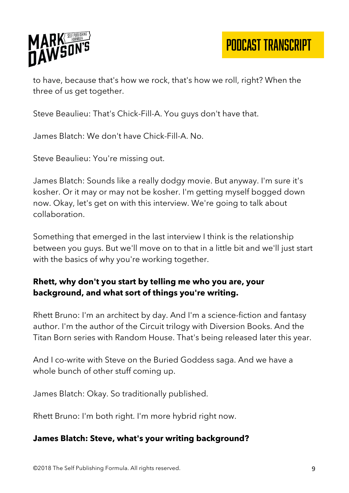

PODCAST TRANSCRIPT

to have, because that's how we rock, that's how we roll, right? When the three of us get together.

Steve Beaulieu: That's Chick-Fill-A. You guys don't have that.

James Blatch: We don't have Chick-Fill-A. No.

Steve Beaulieu: You're missing out.

James Blatch: Sounds like a really dodgy movie. But anyway. I'm sure it's kosher. Or it may or may not be kosher. I'm getting myself bogged down now. Okay, let's get on with this interview. We're going to talk about collaboration.

Something that emerged in the last interview I think is the relationship between you guys. But we'll move on to that in a little bit and we'll just start with the basics of why you're working together.

#### **Rhett, why don't you start by telling me who you are, your background, and what sort of things you're writing.**

Rhett Bruno: I'm an architect by day. And I'm a science-fiction and fantasy author. I'm the author of the Circuit trilogy with Diversion Books. And the Titan Born series with Random House. That's being released later this year.

And I co-write with Steve on the Buried Goddess saga. And we have a whole bunch of other stuff coming up.

James Blatch: Okay. So traditionally published.

Rhett Bruno: I'm both right. I'm more hybrid right now.

#### **James Blatch: Steve, what's your writing background?**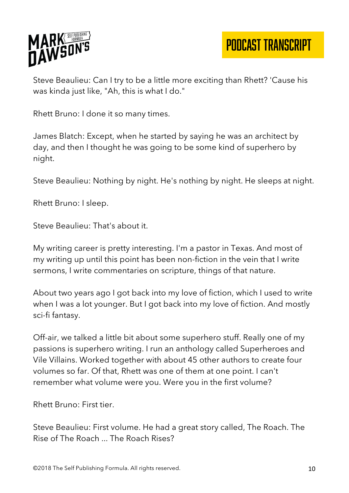

PODCAST TRANSCRIPT

Steve Beaulieu: Can I try to be a little more exciting than Rhett? 'Cause his was kinda just like, "Ah, this is what I do."

Rhett Bruno: I done it so many times.

James Blatch: Except, when he started by saying he was an architect by day, and then I thought he was going to be some kind of superhero by night.

Steve Beaulieu: Nothing by night. He's nothing by night. He sleeps at night.

Rhett Bruno: I sleep.

Steve Beaulieu: That's about it.

My writing career is pretty interesting. I'm a pastor in Texas. And most of my writing up until this point has been non-fiction in the vein that I write sermons, I write commentaries on scripture, things of that nature.

About two years ago I got back into my love of fiction, which I used to write when I was a lot younger. But I got back into my love of fiction. And mostly sci-fi fantasy.

Off-air, we talked a little bit about some superhero stuff. Really one of my passions is superhero writing. I run an anthology called Superheroes and Vile Villains. Worked together with about 45 other authors to create four volumes so far. Of that, Rhett was one of them at one point. I can't remember what volume were you. Were you in the first volume?

Rhett Bruno: First tier.

Steve Beaulieu: First volume. He had a great story called, The Roach. The Rise of The Roach ... The Roach Rises?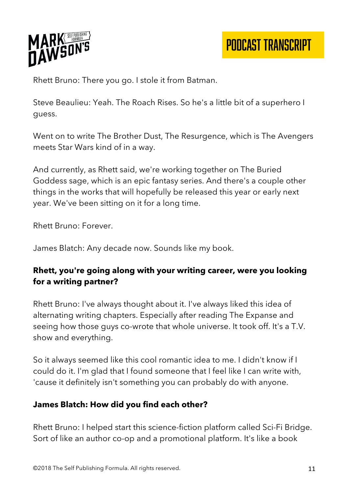

Rhett Bruno: There you go. I stole it from Batman.

Steve Beaulieu: Yeah. The Roach Rises. So he's a little bit of a superhero I guess.

Went on to write The Brother Dust, The Resurgence, which is The Avengers meets Star Wars kind of in a way.

And currently, as Rhett said, we're working together on The Buried Goddess sage, which is an epic fantasy series. And there's a couple other things in the works that will hopefully be released this year or early next year. We've been sitting on it for a long time.

Rhett Bruno: Forever.

James Blatch: Any decade now. Sounds like my book.

## **Rhett, you're going along with your writing career, were you looking for a writing partner?**

Rhett Bruno: I've always thought about it. I've always liked this idea of alternating writing chapters. Especially after reading The Expanse and seeing how those guys co-wrote that whole universe. It took off. It's a T.V. show and everything.

So it always seemed like this cool romantic idea to me. I didn't know if I could do it. I'm glad that I found someone that I feel like I can write with, 'cause it definitely isn't something you can probably do with anyone.

## **James Blatch: How did you find each other?**

Rhett Bruno: I helped start this science-fiction platform called Sci-Fi Bridge. Sort of like an author co-op and a promotional platform. It's like a book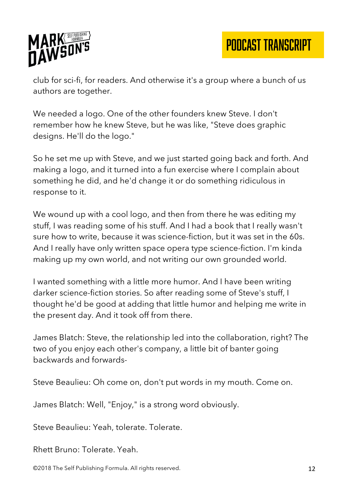

PODCAST TRANSCRIPT

club for sci-fi, for readers. And otherwise it's a group where a bunch of us authors are together.

We needed a logo. One of the other founders knew Steve. I don't remember how he knew Steve, but he was like, "Steve does graphic designs. He'll do the logo."

So he set me up with Steve, and we just started going back and forth. And making a logo, and it turned into a fun exercise where I complain about something he did, and he'd change it or do something ridiculous in response to it.

We wound up with a cool logo, and then from there he was editing my stuff, I was reading some of his stuff. And I had a book that I really wasn't sure how to write, because it was science-fiction, but it was set in the 60s. And I really have only written space opera type science-fiction. I'm kinda making up my own world, and not writing our own grounded world.

I wanted something with a little more humor. And I have been writing darker science-fiction stories. So after reading some of Steve's stuff, I thought he'd be good at adding that little humor and helping me write in the present day. And it took off from there.

James Blatch: Steve, the relationship led into the collaboration, right? The two of you enjoy each other's company, a little bit of banter going backwards and forwards-

Steve Beaulieu: Oh come on, don't put words in my mouth. Come on.

James Blatch: Well, "Enjoy," is a strong word obviously.

Steve Beaulieu: Yeah, tolerate. Tolerate.

Rhett Bruno: Tolerate. Yeah.

©2018 The Self Publishing Formula. All rights reserved. 12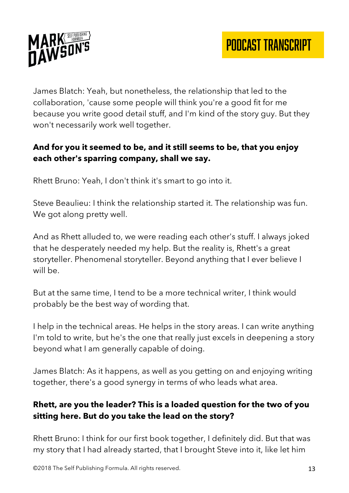

James Blatch: Yeah, but nonetheless, the relationship that led to the collaboration, 'cause some people will think you're a good fit for me because you write good detail stuff, and I'm kind of the story guy. But they won't necessarily work well together.

# **And for you it seemed to be, and it still seems to be, that you enjoy each other's sparring company, shall we say.**

Rhett Bruno: Yeah, I don't think it's smart to go into it.

Steve Beaulieu: I think the relationship started it. The relationship was fun. We got along pretty well.

And as Rhett alluded to, we were reading each other's stuff. I always joked that he desperately needed my help. But the reality is, Rhett's a great storyteller. Phenomenal storyteller. Beyond anything that I ever believe I will be.

But at the same time, I tend to be a more technical writer, I think would probably be the best way of wording that.

I help in the technical areas. He helps in the story areas. I can write anything I'm told to write, but he's the one that really just excels in deepening a story beyond what I am generally capable of doing.

James Blatch: As it happens, as well as you getting on and enjoying writing together, there's a good synergy in terms of who leads what area.

## **Rhett, are you the leader? This is a loaded question for the two of you sitting here. But do you take the lead on the story?**

Rhett Bruno: I think for our first book together, I definitely did. But that was my story that I had already started, that I brought Steve into it, like let him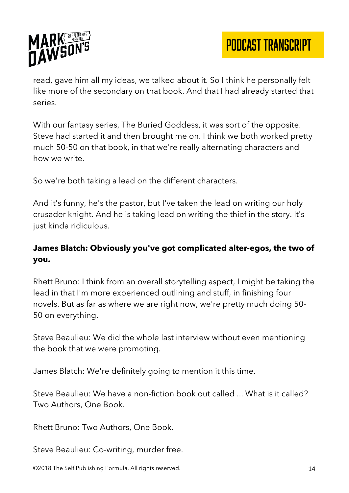

read, gave him all my ideas, we talked about it. So I think he personally felt like more of the secondary on that book. And that I had already started that series.

With our fantasy series, The Buried Goddess, it was sort of the opposite. Steve had started it and then brought me on. I think we both worked pretty much 50-50 on that book, in that we're really alternating characters and how we write.

So we're both taking a lead on the different characters.

And it's funny, he's the pastor, but I've taken the lead on writing our holy crusader knight. And he is taking lead on writing the thief in the story. It's just kinda ridiculous.

# **James Blatch: Obviously you've got complicated alter-egos, the two of you.**

Rhett Bruno: I think from an overall storytelling aspect, I might be taking the lead in that I'm more experienced outlining and stuff, in finishing four novels. But as far as where we are right now, we're pretty much doing 50- 50 on everything.

Steve Beaulieu: We did the whole last interview without even mentioning the book that we were promoting.

James Blatch: We're definitely going to mention it this time.

Steve Beaulieu: We have a non-fiction book out called ... What is it called? Two Authors, One Book.

Rhett Bruno: Two Authors, One Book.

Steve Beaulieu: Co-writing, murder free.

©2018 The Self Publishing Formula. All rights reserved. 14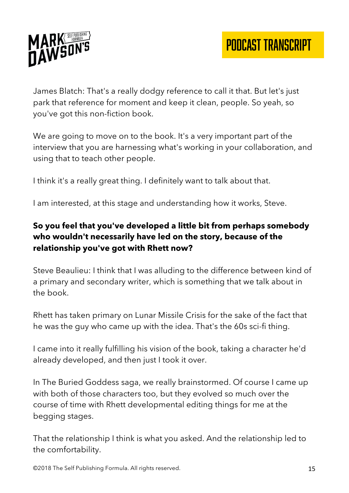

James Blatch: That's a really dodgy reference to call it that. But let's just park that reference for moment and keep it clean, people. So yeah, so you've got this non-fiction book.

We are going to move on to the book. It's a very important part of the interview that you are harnessing what's working in your collaboration, and using that to teach other people.

I think it's a really great thing. I definitely want to talk about that.

I am interested, at this stage and understanding how it works, Steve.

## **So you feel that you've developed a little bit from perhaps somebody who wouldn't necessarily have led on the story, because of the relationship you've got with Rhett now?**

Steve Beaulieu: I think that I was alluding to the difference between kind of a primary and secondary writer, which is something that we talk about in the book.

Rhett has taken primary on Lunar Missile Crisis for the sake of the fact that he was the guy who came up with the idea. That's the 60s sci-fi thing.

I came into it really fulfilling his vision of the book, taking a character he'd already developed, and then just I took it over.

In The Buried Goddess saga, we really brainstormed. Of course I came up with both of those characters too, but they evolved so much over the course of time with Rhett developmental editing things for me at the begging stages.

That the relationship I think is what you asked. And the relationship led to the comfortability.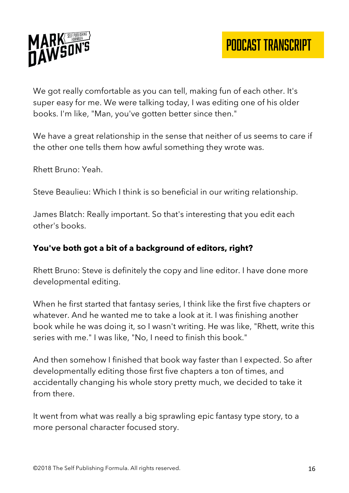

We got really comfortable as you can tell, making fun of each other. It's super easy for me. We were talking today, I was editing one of his older books. I'm like, "Man, you've gotten better since then."

We have a great relationship in the sense that neither of us seems to care if the other one tells them how awful something they wrote was.

Rhett Bruno: Yeah.

Steve Beaulieu: Which I think is so beneficial in our writing relationship.

James Blatch: Really important. So that's interesting that you edit each other's books.

## **You've both got a bit of a background of editors, right?**

Rhett Bruno: Steve is definitely the copy and line editor. I have done more developmental editing.

When he first started that fantasy series, I think like the first five chapters or whatever. And he wanted me to take a look at it. I was finishing another book while he was doing it, so I wasn't writing. He was like, "Rhett, write this series with me." I was like, "No, I need to finish this book."

And then somehow I finished that book way faster than I expected. So after developmentally editing those first five chapters a ton of times, and accidentally changing his whole story pretty much, we decided to take it from there.

It went from what was really a big sprawling epic fantasy type story, to a more personal character focused story.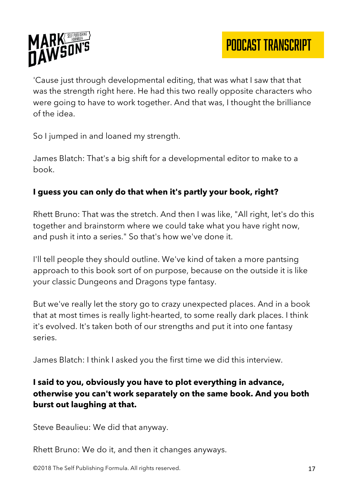

'Cause just through developmental editing, that was what I saw that that was the strength right here. He had this two really opposite characters who were going to have to work together. And that was, I thought the brilliance of the idea.

So I jumped in and loaned my strength.

James Blatch: That's a big shift for a developmental editor to make to a book.

## **I guess you can only do that when it's partly your book, right?**

Rhett Bruno: That was the stretch. And then I was like, "All right, let's do this together and brainstorm where we could take what you have right now, and push it into a series." So that's how we've done it.

I'll tell people they should outline. We've kind of taken a more pantsing approach to this book sort of on purpose, because on the outside it is like your classic Dungeons and Dragons type fantasy.

But we've really let the story go to crazy unexpected places. And in a book that at most times is really light-hearted, to some really dark places. I think it's evolved. It's taken both of our strengths and put it into one fantasy series.

James Blatch: I think I asked you the first time we did this interview.

## **I said to you, obviously you have to plot everything in advance, otherwise you can't work separately on the same book. And you both burst out laughing at that.**

Steve Beaulieu: We did that anyway.

Rhett Bruno: We do it, and then it changes anyways.

©2018 The Self Publishing Formula. All rights reserved. 17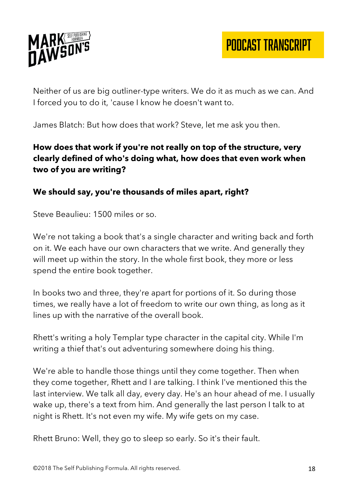

Neither of us are big outliner-type writers. We do it as much as we can. And I forced you to do it, 'cause I know he doesn't want to.

James Blatch: But how does that work? Steve, let me ask you then.

## **How does that work if you're not really on top of the structure, very clearly defined of who's doing what, how does that even work when two of you are writing?**

## **We should say, you're thousands of miles apart, right?**

Steve Beaulieu: 1500 miles or so.

We're not taking a book that's a single character and writing back and forth on it. We each have our own characters that we write. And generally they will meet up within the story. In the whole first book, they more or less spend the entire book together.

In books two and three, they're apart for portions of it. So during those times, we really have a lot of freedom to write our own thing, as long as it lines up with the narrative of the overall book.

Rhett's writing a holy Templar type character in the capital city. While I'm writing a thief that's out adventuring somewhere doing his thing.

We're able to handle those things until they come together. Then when they come together, Rhett and I are talking. I think I've mentioned this the last interview. We talk all day, every day. He's an hour ahead of me. I usually wake up, there's a text from him. And generally the last person I talk to at night is Rhett. It's not even my wife. My wife gets on my case.

Rhett Bruno: Well, they go to sleep so early. So it's their fault.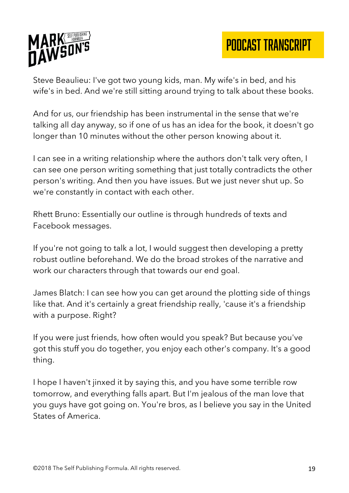

Steve Beaulieu: I've got two young kids, man. My wife's in bed, and his wife's in bed. And we're still sitting around trying to talk about these books.

And for us, our friendship has been instrumental in the sense that we're talking all day anyway, so if one of us has an idea for the book, it doesn't go longer than 10 minutes without the other person knowing about it.

I can see in a writing relationship where the authors don't talk very often, I can see one person writing something that just totally contradicts the other person's writing. And then you have issues. But we just never shut up. So we're constantly in contact with each other.

Rhett Bruno: Essentially our outline is through hundreds of texts and Facebook messages.

If you're not going to talk a lot, I would suggest then developing a pretty robust outline beforehand. We do the broad strokes of the narrative and work our characters through that towards our end goal.

James Blatch: I can see how you can get around the plotting side of things like that. And it's certainly a great friendship really, 'cause it's a friendship with a purpose. Right?

If you were just friends, how often would you speak? But because you've got this stuff you do together, you enjoy each other's company. It's a good thing.

I hope I haven't jinxed it by saying this, and you have some terrible row tomorrow, and everything falls apart. But I'm jealous of the man love that you guys have got going on. You're bros, as I believe you say in the United States of America.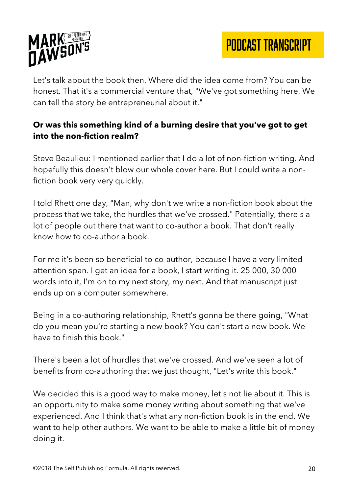

PODCAST TRANSCRIPT

Let's talk about the book then. Where did the idea come from? You can be honest. That it's a commercial venture that, "We've got something here. We can tell the story be entrepreneurial about it."

## **Or was this something kind of a burning desire that you've got to get into the non-fiction realm?**

Steve Beaulieu: I mentioned earlier that I do a lot of non-fiction writing. And hopefully this doesn't blow our whole cover here. But I could write a nonfiction book very very quickly.

I told Rhett one day, "Man, why don't we write a non-fiction book about the process that we take, the hurdles that we've crossed." Potentially, there's a lot of people out there that want to co-author a book. That don't really know how to co-author a book.

For me it's been so beneficial to co-author, because I have a very limited attention span. I get an idea for a book, I start writing it. 25 000, 30 000 words into it, I'm on to my next story, my next. And that manuscript just ends up on a computer somewhere.

Being in a co-authoring relationship, Rhett's gonna be there going, "What do you mean you're starting a new book? You can't start a new book. We have to finish this book."

There's been a lot of hurdles that we've crossed. And we've seen a lot of benefits from co-authoring that we just thought, "Let's write this book."

We decided this is a good way to make money, let's not lie about it. This is an opportunity to make some money writing about something that we've experienced. And I think that's what any non-fiction book is in the end. We want to help other authors. We want to be able to make a little bit of money doing it.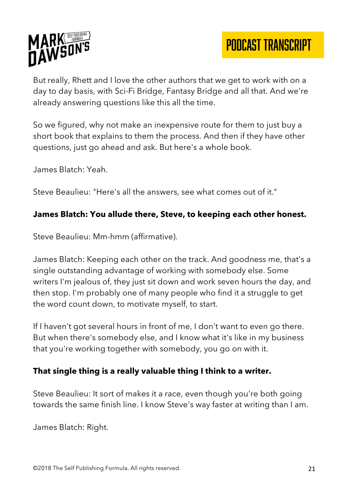

But really, Rhett and I love the other authors that we get to work with on a day to day basis, with Sci-Fi Bridge, Fantasy Bridge and all that. And we're already answering questions like this all the time.

So we figured, why not make an inexpensive route for them to just buy a short book that explains to them the process. And then if they have other questions, just go ahead and ask. But here's a whole book.

James Blatch: Yeah.

Steve Beaulieu: "Here's all the answers, see what comes out of it."

#### **James Blatch: You allude there, Steve, to keeping each other honest.**

Steve Beaulieu: Mm-hmm (affirmative).

James Blatch: Keeping each other on the track. And goodness me, that's a single outstanding advantage of working with somebody else. Some writers I'm jealous of, they just sit down and work seven hours the day, and then stop. I'm probably one of many people who find it a struggle to get the word count down, to motivate myself, to start.

If I haven't got several hours in front of me, I don't want to even go there. But when there's somebody else, and I know what it's like in my business that you're working together with somebody, you go on with it.

## **That single thing is a really valuable thing I think to a writer.**

Steve Beaulieu: It sort of makes it a race, even though you're both going towards the same finish line. I know Steve's way faster at writing than I am.

James Blatch: Right.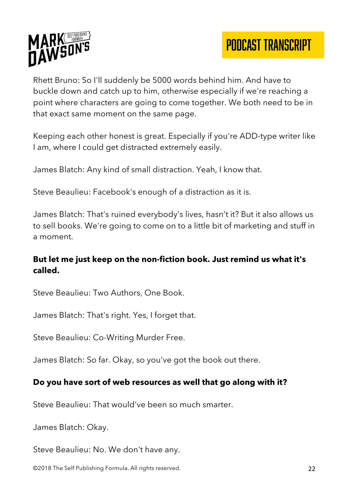

Rhett Bruno: So I'll suddenly be 5000 words behind him. And have to buckle down and catch up to him, otherwise especially if we're reaching a point where characters are going to come together. We both need to be in that exact same moment on the same page.

Keeping each other honest is great. Especially if you're ADD-type writer like I am, where I could get distracted extremely easily.

James Blatch: Any kind of small distraction. Yeah, I know that.

Steve Beaulieu: Facebook's enough of a distraction as it is.

James Blatch: That's ruined everybody's lives, hasn't it? But it also allows us to sell books. We're going to come on to a little bit of marketing and stuff in a moment.

## **But let me just keep on the non-fiction book. Just remind us what it's called.**

Steve Beaulieu: Two Authors, One Book.

James Blatch: That's right. Yes, I forget that.

Steve Beaulieu: Co-Writing Murder Free.

James Blatch: So far. Okay, so you've got the book out there.

## **Do you have sort of web resources as well that go along with it?**

Steve Beaulieu: That would've been so much smarter.

James Blatch: Okay.

Steve Beaulieu: No. We don't have any.

©2018 The Self Publishing Formula. All rights reserved. 22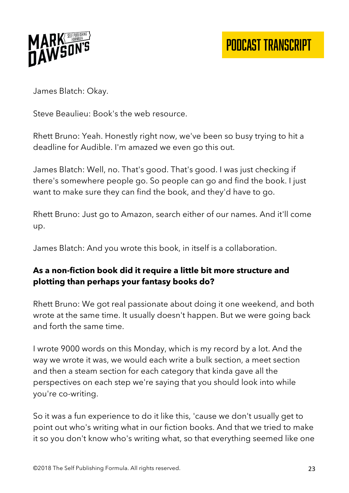

James Blatch: Okay.

Steve Beaulieu: Book's the web resource.

Rhett Bruno: Yeah. Honestly right now, we've been so busy trying to hit a deadline for Audible. I'm amazed we even go this out.

James Blatch: Well, no. That's good. That's good. I was just checking if there's somewhere people go. So people can go and find the book. I just want to make sure they can find the book, and they'd have to go.

Rhett Bruno: Just go to Amazon, search either of our names. And it'll come up.

James Blatch: And you wrote this book, in itself is a collaboration.

## **As a non-fiction book did it require a little bit more structure and plotting than perhaps your fantasy books do?**

Rhett Bruno: We got real passionate about doing it one weekend, and both wrote at the same time. It usually doesn't happen. But we were going back and forth the same time.

I wrote 9000 words on this Monday, which is my record by a lot. And the way we wrote it was, we would each write a bulk section, a meet section and then a steam section for each category that kinda gave all the perspectives on each step we're saying that you should look into while you're co-writing.

So it was a fun experience to do it like this, 'cause we don't usually get to point out who's writing what in our fiction books. And that we tried to make it so you don't know who's writing what, so that everything seemed like one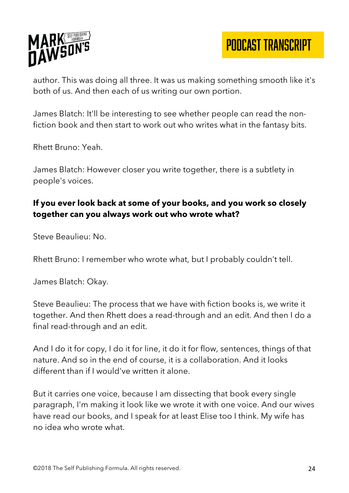

author. This was doing all three. It was us making something smooth like it's both of us. And then each of us writing our own portion.

James Blatch: It'll be interesting to see whether people can read the nonfiction book and then start to work out who writes what in the fantasy bits.

Rhett Bruno: Yeah.

James Blatch: However closer you write together, there is a subtlety in people's voices.

# **If you ever look back at some of your books, and you work so closely together can you always work out who wrote what?**

Steve Beaulieu: No.

Rhett Bruno: I remember who wrote what, but I probably couldn't tell.

James Blatch: Okay.

Steve Beaulieu: The process that we have with fiction books is, we write it together. And then Rhett does a read-through and an edit. And then I do a final read-through and an edit.

And I do it for copy, I do it for line, it do it for flow, sentences, things of that nature. And so in the end of course, it is a collaboration. And it looks different than if I would've written it alone.

But it carries one voice, because I am dissecting that book every single paragraph, I'm making it look like we wrote it with one voice. And our wives have read our books, and I speak for at least Elise too I think. My wife has no idea who wrote what.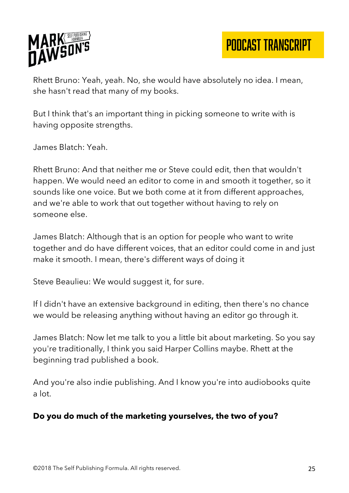

PODCAST TRANSCRIPT

Rhett Bruno: Yeah, yeah. No, she would have absolutely no idea. I mean, she hasn't read that many of my books.

But I think that's an important thing in picking someone to write with is having opposite strengths.

James Blatch: Yeah.

Rhett Bruno: And that neither me or Steve could edit, then that wouldn't happen. We would need an editor to come in and smooth it together, so it sounds like one voice. But we both come at it from different approaches, and we're able to work that out together without having to rely on someone else.

James Blatch: Although that is an option for people who want to write together and do have different voices, that an editor could come in and just make it smooth. I mean, there's different ways of doing it

Steve Beaulieu: We would suggest it, for sure.

If I didn't have an extensive background in editing, then there's no chance we would be releasing anything without having an editor go through it.

James Blatch: Now let me talk to you a little bit about marketing. So you say you're traditionally, I think you said Harper Collins maybe. Rhett at the beginning trad published a book.

And you're also indie publishing. And I know you're into audiobooks quite a lot.

#### **Do you do much of the marketing yourselves, the two of you?**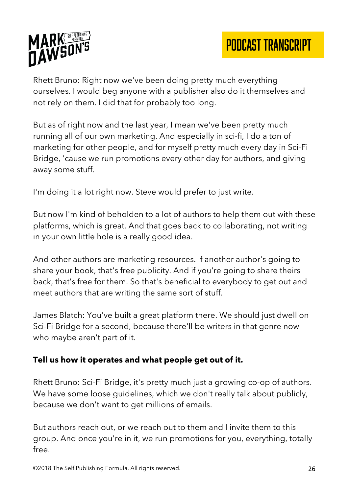

Rhett Bruno: Right now we've been doing pretty much everything ourselves. I would beg anyone with a publisher also do it themselves and not rely on them. I did that for probably too long.

But as of right now and the last year, I mean we've been pretty much running all of our own marketing. And especially in sci-fi, I do a ton of marketing for other people, and for myself pretty much every day in Sci-Fi Bridge, 'cause we run promotions every other day for authors, and giving away some stuff.

I'm doing it a lot right now. Steve would prefer to just write.

But now I'm kind of beholden to a lot of authors to help them out with these platforms, which is great. And that goes back to collaborating, not writing in your own little hole is a really good idea.

And other authors are marketing resources. If another author's going to share your book, that's free publicity. And if you're going to share theirs back, that's free for them. So that's beneficial to everybody to get out and meet authors that are writing the same sort of stuff.

James Blatch: You've built a great platform there. We should just dwell on Sci-Fi Bridge for a second, because there'll be writers in that genre now who maybe aren't part of it.

## **Tell us how it operates and what people get out of it.**

Rhett Bruno: Sci-Fi Bridge, it's pretty much just a growing co-op of authors. We have some loose quidelines, which we don't really talk about publicly, because we don't want to get millions of emails.

But authors reach out, or we reach out to them and I invite them to this group. And once you're in it, we run promotions for you, everything, totally free.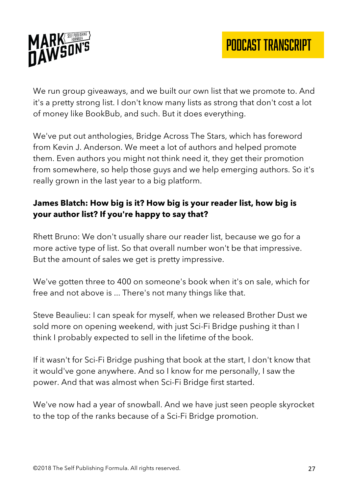

We run group giveaways, and we built our own list that we promote to. And it's a pretty strong list. I don't know many lists as strong that don't cost a lot of money like BookBub, and such. But it does everything.

We've put out anthologies, Bridge Across The Stars, which has foreword from Kevin J. Anderson. We meet a lot of authors and helped promote them. Even authors you might not think need it, they get their promotion from somewhere, so help those guys and we help emerging authors. So it's really grown in the last year to a big platform.

# **James Blatch: How big is it? How big is your reader list, how big is your author list? If you're happy to say that?**

Rhett Bruno: We don't usually share our reader list, because we go for a more active type of list. So that overall number won't be that impressive. But the amount of sales we get is pretty impressive.

We've gotten three to 400 on someone's book when it's on sale, which for free and not above is ... There's not many things like that.

Steve Beaulieu: I can speak for myself, when we released Brother Dust we sold more on opening weekend, with just Sci-Fi Bridge pushing it than I think I probably expected to sell in the lifetime of the book.

If it wasn't for Sci-Fi Bridge pushing that book at the start, I don't know that it would've gone anywhere. And so I know for me personally, I saw the power. And that was almost when Sci-Fi Bridge first started.

We've now had a year of snowball. And we have just seen people skyrocket to the top of the ranks because of a Sci-Fi Bridge promotion.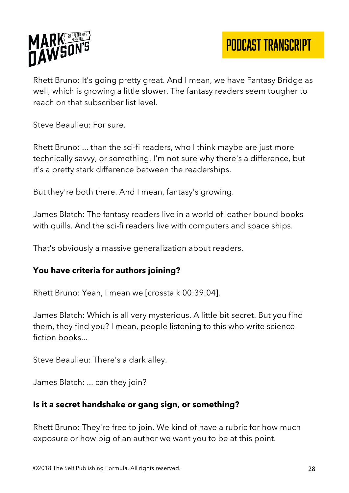

Rhett Bruno: It's going pretty great. And I mean, we have Fantasy Bridge as well, which is growing a little slower. The fantasy readers seem tougher to reach on that subscriber list level.

Steve Beaulieu: For sure.

Rhett Bruno: ... than the sci-fi readers, who I think maybe are just more technically savvy, or something. I'm not sure why there's a difference, but it's a pretty stark difference between the readerships.

But they're both there. And I mean, fantasy's growing.

James Blatch: The fantasy readers live in a world of leather bound books with quills. And the sci-fi readers live with computers and space ships.

That's obviously a massive generalization about readers.

## **You have criteria for authors joining?**

Rhett Bruno: Yeah, I mean we [crosstalk 00:39:04].

James Blatch: Which is all very mysterious. A little bit secret. But you find them, they find you? I mean, people listening to this who write sciencefiction books...

Steve Beaulieu: There's a dark alley.

James Blatch: ... can they join?

## **Is it a secret handshake or gang sign, or something?**

Rhett Bruno: They're free to join. We kind of have a rubric for how much exposure or how big of an author we want you to be at this point.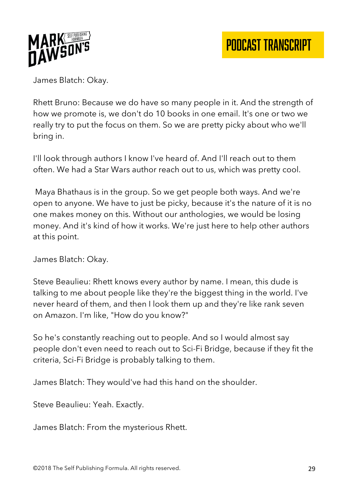

James Blatch: Okay.

Rhett Bruno: Because we do have so many people in it. And the strength of how we promote is, we don't do 10 books in one email. It's one or two we really try to put the focus on them. So we are pretty picky about who we'll bring in.

I'll look through authors I know I've heard of. And I'll reach out to them often. We had a Star Wars author reach out to us, which was pretty cool.

Maya Bhathaus is in the group. So we get people both ways. And we're open to anyone. We have to just be picky, because it's the nature of it is no one makes money on this. Without our anthologies, we would be losing money. And it's kind of how it works. We're just here to help other authors at this point.

James Blatch: Okay.

Steve Beaulieu: Rhett knows every author by name. I mean, this dude is talking to me about people like they're the biggest thing in the world. I've never heard of them, and then I look them up and they're like rank seven on Amazon. I'm like, "How do you know?"

So he's constantly reaching out to people. And so I would almost say people don't even need to reach out to Sci-Fi Bridge, because if they fit the criteria, Sci-Fi Bridge is probably talking to them.

James Blatch: They would've had this hand on the shoulder.

Steve Beaulieu: Yeah. Exactly.

James Blatch: From the mysterious Rhett.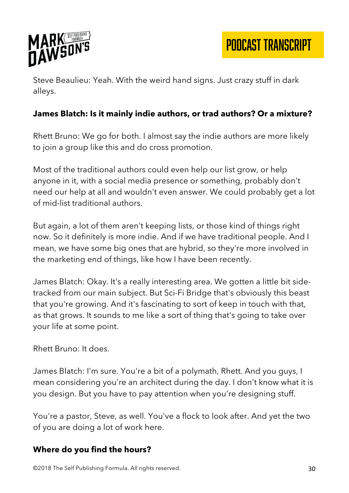

PODCAST TRANSCRIPT

Steve Beaulieu: Yeah. With the weird hand signs. Just crazy stuff in dark alleys.

#### **James Blatch: Is it mainly indie authors, or trad authors? Or a mixture?**

Rhett Bruno: We go for both. I almost say the indie authors are more likely to join a group like this and do cross promotion.

Most of the traditional authors could even help our list grow, or help anyone in it, with a social media presence or something, probably don't need our help at all and wouldn't even answer. We could probably get a lot of mid-list traditional authors.

But again, a lot of them aren't keeping lists, or those kind of things right now. So it definitely is more indie. And if we have traditional people. And I mean, we have some big ones that are hybrid, so they're more involved in the marketing end of things, like how I have been recently.

James Blatch: Okay. It's a really interesting area. We gotten a little bit sidetracked from our main subject. But Sci-Fi Bridge that's obviously this beast that you're growing. And it's fascinating to sort of keep in touch with that, as that grows. It sounds to me like a sort of thing that's going to take over your life at some point.

Rhett Bruno: It does.

James Blatch: I'm sure. You're a bit of a polymath, Rhett. And you guys, I mean considering you're an architect during the day. I don't know what it is you design. But you have to pay attention when you're designing stuff.

You're a pastor, Steve, as well. You've a flock to look after. And yet the two of you are doing a lot of work here.

#### **Where do you find the hours?**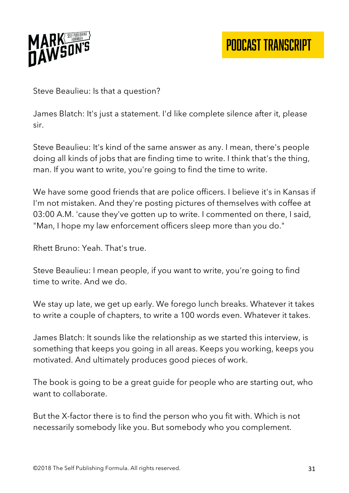

Steve Beaulieu: Is that a question?

James Blatch: It's just a statement. I'd like complete silence after it, please sir.

Steve Beaulieu: It's kind of the same answer as any. I mean, there's people doing all kinds of jobs that are finding time to write. I think that's the thing, man. If you want to write, you're going to find the time to write.

We have some good friends that are police officers. I believe it's in Kansas if I'm not mistaken. And they're posting pictures of themselves with coffee at 03:00 A.M. 'cause they've gotten up to write. I commented on there, I said, "Man, I hope my law enforcement officers sleep more than you do."

Rhett Bruno: Yeah. That's true.

Steve Beaulieu: I mean people, if you want to write, you're going to find time to write. And we do.

We stay up late, we get up early. We forego lunch breaks. Whatever it takes to write a couple of chapters, to write a 100 words even. Whatever it takes.

James Blatch: It sounds like the relationship as we started this interview, is something that keeps you going in all areas. Keeps you working, keeps you motivated. And ultimately produces good pieces of work.

The book is going to be a great guide for people who are starting out, who want to collaborate.

But the X-factor there is to find the person who you fit with. Which is not necessarily somebody like you. But somebody who you complement.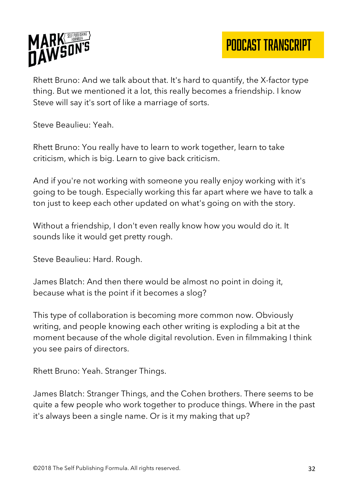

Rhett Bruno: And we talk about that. It's hard to quantify, the X-factor type thing. But we mentioned it a lot, this really becomes a friendship. I know Steve will say it's sort of like a marriage of sorts.

Steve Beaulieu: Yeah.

Rhett Bruno: You really have to learn to work together, learn to take criticism, which is big. Learn to give back criticism.

And if you're not working with someone you really enjoy working with it's going to be tough. Especially working this far apart where we have to talk a ton just to keep each other updated on what's going on with the story.

Without a friendship, I don't even really know how you would do it. It sounds like it would get pretty rough.

Steve Beaulieu: Hard. Rough.

James Blatch: And then there would be almost no point in doing it, because what is the point if it becomes a slog?

This type of collaboration is becoming more common now. Obviously writing, and people knowing each other writing is exploding a bit at the moment because of the whole digital revolution. Even in filmmaking I think you see pairs of directors.

Rhett Bruno: Yeah. Stranger Things.

James Blatch: Stranger Things, and the Cohen brothers. There seems to be quite a few people who work together to produce things. Where in the past it's always been a single name. Or is it my making that up?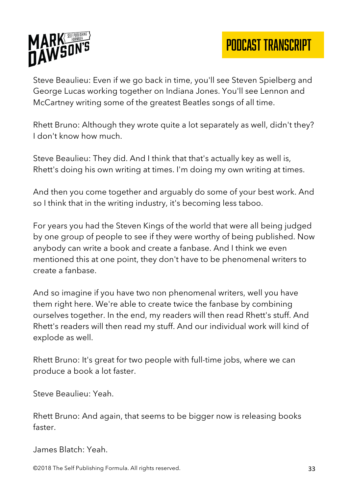

Steve Beaulieu: Even if we go back in time, you'll see Steven Spielberg and George Lucas working together on Indiana Jones. You'll see Lennon and McCartney writing some of the greatest Beatles songs of all time.

Rhett Bruno: Although they wrote quite a lot separately as well, didn't they? I don't know how much.

Steve Beaulieu: They did. And I think that that's actually key as well is, Rhett's doing his own writing at times. I'm doing my own writing at times.

And then you come together and arguably do some of your best work. And so I think that in the writing industry, it's becoming less taboo.

For years you had the Steven Kings of the world that were all being judged by one group of people to see if they were worthy of being published. Now anybody can write a book and create a fanbase. And I think we even mentioned this at one point, they don't have to be phenomenal writers to create a fanbase.

And so imagine if you have two non phenomenal writers, well you have them right here. We're able to create twice the fanbase by combining ourselves together. In the end, my readers will then read Rhett's stuff. And Rhett's readers will then read my stuff. And our individual work will kind of explode as well.

Rhett Bruno: It's great for two people with full-time jobs, where we can produce a book a lot faster.

Steve Beaulieu: Yeah.

Rhett Bruno: And again, that seems to be bigger now is releasing books faster.

James Blatch: Yeah.

©2018 The Self Publishing Formula. All rights reserved. 33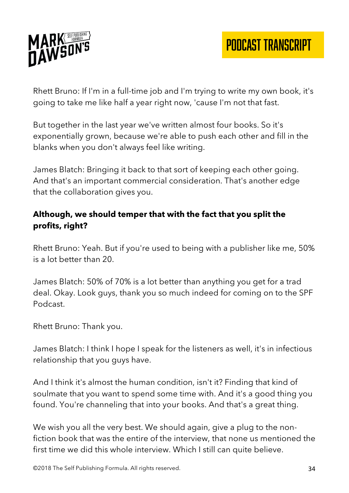

Rhett Bruno: If I'm in a full-time job and I'm trying to write my own book, it's going to take me like half a year right now, 'cause I'm not that fast.

But together in the last year we've written almost four books. So it's exponentially grown, because we're able to push each other and fill in the blanks when you don't always feel like writing.

James Blatch: Bringing it back to that sort of keeping each other going. And that's an important commercial consideration. That's another edge that the collaboration gives you.

## **Although, we should temper that with the fact that you split the profits, right?**

Rhett Bruno: Yeah. But if you're used to being with a publisher like me, 50% is a lot better than 20.

James Blatch: 50% of 70% is a lot better than anything you get for a trad deal. Okay. Look guys, thank you so much indeed for coming on to the SPF Podcast.

Rhett Bruno: Thank you.

James Blatch: I think I hope I speak for the listeners as well, it's in infectious relationship that you guys have.

And I think it's almost the human condition, isn't it? Finding that kind of soulmate that you want to spend some time with. And it's a good thing you found. You're channeling that into your books. And that's a great thing.

We wish you all the very best. We should again, give a plug to the nonfiction book that was the entire of the interview, that none us mentioned the first time we did this whole interview. Which I still can quite believe.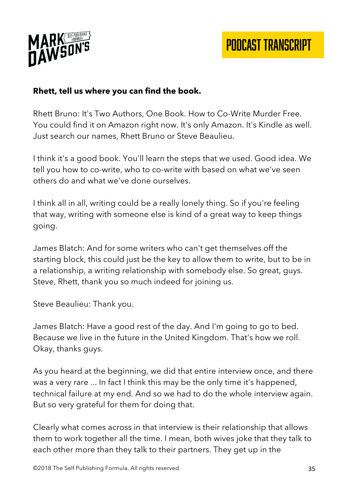

## **Rhett, tell us where you can find the book.**

Rhett Bruno: It's Two Authors, One Book. How to Co-Write Murder Free. You could find it on Amazon right now. It's only Amazon. It's Kindle as well. Just search our names, Rhett Bruno or Steve Beaulieu.

I think it's a good book. You'll learn the steps that we used. Good idea. We tell you how to co-write, who to co-write with based on what we've seen others do and what we've done ourselves.

I think all in all, writing could be a really lonely thing. So if you're feeling that way, writing with someone else is kind of a great way to keep things going.

James Blatch: And for some writers who can't get themselves off the starting block, this could just be the key to allow them to write, but to be in a relationship, a writing relationship with somebody else. So great, guys. Steve, Rhett, thank you so much indeed for joining us.

Steve Beaulieu: Thank you.

James Blatch: Have a good rest of the day. And I'm going to go to bed. Because we live in the future in the United Kingdom. That's how we roll. Okay, thanks guys.

As you heard at the beginning, we did that entire interview once, and there was a very rare ... In fact I think this may be the only time it's happened, technical failure at my end. And so we had to do the whole interview again. But so very grateful for them for doing that.

Clearly what comes across in that interview is their relationship that allows them to work together all the time. I mean, both wives joke that they talk to each other more than they talk to their partners. They get up in the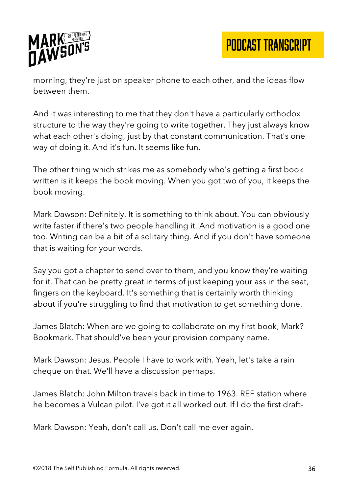

morning, they're just on speaker phone to each other, and the ideas flow between them.

And it was interesting to me that they don't have a particularly orthodox structure to the way they're going to write together. They just always know what each other's doing, just by that constant communication. That's one way of doing it. And it's fun. It seems like fun.

The other thing which strikes me as somebody who's getting a first book written is it keeps the book moving. When you got two of you, it keeps the book moving.

Mark Dawson: Definitely. It is something to think about. You can obviously write faster if there's two people handling it. And motivation is a good one too. Writing can be a bit of a solitary thing. And if you don't have someone that is waiting for your words.

Say you got a chapter to send over to them, and you know they're waiting for it. That can be pretty great in terms of just keeping your ass in the seat, fingers on the keyboard. It's something that is certainly worth thinking about if you're struggling to find that motivation to get something done.

James Blatch: When are we going to collaborate on my first book, Mark? Bookmark. That should've been your provision company name.

Mark Dawson: Jesus. People I have to work with. Yeah, let's take a rain cheque on that. We'll have a discussion perhaps.

James Blatch: John Milton travels back in time to 1963. REF station where he becomes a Vulcan pilot. I've got it all worked out. If I do the first draft-

Mark Dawson: Yeah, don't call us. Don't call me ever again.